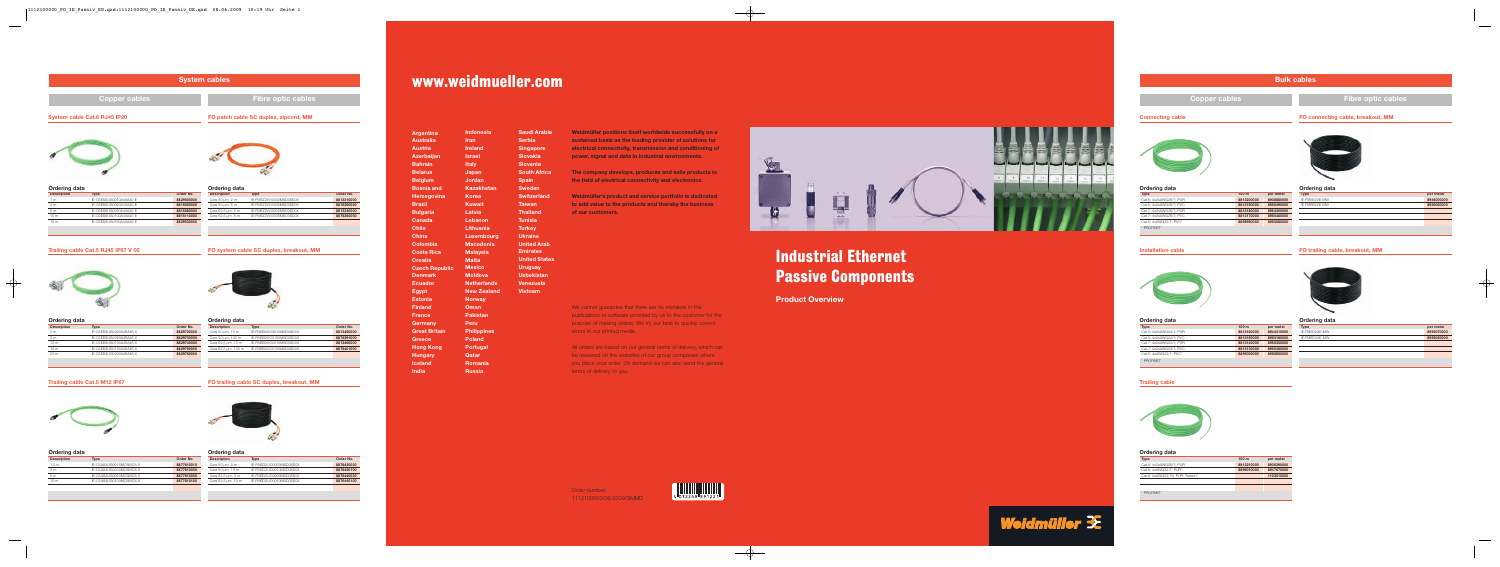# Industrial Ethernet Passive Components

**Product Overview**

Order number: 1112100000/06/2009/SMMD



Weidmülle

# www.weidmueller.com

| <b>Argentina</b>      | <b>Indonesia</b>   | Saudi Arabia         |
|-----------------------|--------------------|----------------------|
| <b>Australia</b>      | <b>Iran</b>        | <b>Serbia</b>        |
| <b>Austria</b>        | <b>Ireland</b>     | <b>Singapore</b>     |
| <b>Azerbaijan</b>     | <b>Israel</b>      | <b>Slovakia</b>      |
| <b>Bahrain</b>        | <b>Italy</b>       | <b>Slovenia</b>      |
| <b>Belarus</b>        | Japan              | <b>South Africa</b>  |
| <b>Belgium</b>        | <b>Jordan</b>      | <b>Spain</b>         |
| <b>Bosnia and</b>     | <b>Kazakhstan</b>  | <b>Sweden</b>        |
| <b>Herzegovina</b>    | <b>Korea</b>       | <b>Switzerland</b>   |
| <b>Brazil</b>         | <b>Kuwait</b>      | <b>Taiwan</b>        |
| <b>Bulgaria</b>       | Latvia             | <b>Thailand</b>      |
| <b>Canada</b>         | Lebanon            | <b>Tunisia</b>       |
| <b>Chile</b>          | Lithuania          | <b>Turkey</b>        |
| <b>China</b>          | Luxembourg         | <b>Ukraine</b>       |
| Colombia              | <b>Macedonia</b>   | <b>United Arab</b>   |
| <b>Costa Rica</b>     | <b>Malaysia</b>    | <b>Emirates</b>      |
| <b>Croatia</b>        | <b>Malta</b>       | <b>United States</b> |
| <b>Czech Republic</b> | <b>Mexico</b>      | <b>Uruguay</b>       |
| <b>Denmark</b>        | <b>Moldova</b>     | <b>Uzbekistan</b>    |
| <b>Ecuador</b>        | <b>Netherlands</b> | <b>Venezuela</b>     |
| <b>Egypt</b>          | <b>New Zealand</b> | <b>Vietnam</b>       |
| <b>Estonia</b>        | <b>Norway</b>      |                      |
| <b>Finland</b>        | Oman               |                      |
| <b>France</b>         | <b>Pakistan</b>    |                      |
| Germany               | Peru               |                      |
| <b>Great Britain</b>  | <b>Philippines</b> |                      |
| <b>Greece</b>         | <b>Poland</b>      |                      |
| <b>Hong Kong</b>      | <b>Portugal</b>    |                      |
| <b>Hungary</b>        | Qatar              |                      |
| <b>Iceland</b>        | <b>Romania</b>     |                      |
| <b>India</b>          | <b>Russia</b>      |                      |

All orders are based on our general terms of delivery, which can be reviewed on the websites of our group companies where you place your order. On demand we can also send the general terms of delivery to you.



**Weidmüller positions itself worldwide successfully on a sustained basis as the leading provider of solutions for electrical connectivity, transmission and conditioning of power, signal and data in industrial environments.**

**The company develops, produces and sells products in the field of electrical connectivity and electronics.** 

**Weidmüller's product and service portfolio is dedicated to add value to the products and thereby the business of our customers.** 

We cannot guarantee that there are no mistakes in the publications or software provided by us to the customer for the purpose of making orders. We try our best to quickly correct errors in our printed media.

# **Bulk cables**

# **Connecting cable**



| Type                    | 100 <sub>m</sub> | per meter  |
|-------------------------|------------------|------------|
| Cat.5: 4x2xAWG26/7: PUR | 8813200000       | 8938880000 |
| Cat.5; 4x2xAWG26/7; PVC | 8813190000       | 8955490000 |
| Cat.7: 4x2xAWG26/7: PUR | 8813180000       | 8954300000 |
| Cat.7: 4x2xAWG26/7: PVC | 8813170000       | 8955480000 |
| Cat.5: 4xAWG22/7: PVC*  | 8898990000       | 8955560000 |
| * PROFINFT              |                  |            |

# **Copper cables Fibre optic cables**

# **Ordering data**

### **Installation cable**



| <b>Type</b>             | 100 <sub>m</sub> | per meter  |
|-------------------------|------------------|------------|
| Cat.5; 4x2xAWG24/1; PUR | 8813160000       | 8944310000 |
| Cat.5: 4x2xAWG24/1: PVC | 8813150000       | 8953160000 |
| Cat.7: 4x2xAWG23/1: PUR | 8813140000       | 8955350000 |
| Cat.7: 4x2xAWG23/1: PVC | 8813130000       | 8955360000 |
| Cat.5: 4xAWG22/1: PVC*  | 8899000000       | 8955950000 |
| * PROFINFT              |                  |            |

# **Ordering data**

# **FO connecting cable, breakout, MM**



| <b>Type</b>   | per meter  |
|---------------|------------|
| IE-FM5B2VE-MW | 8946000000 |
| IE-FM6B2VE-MW | 8956060000 |
|               |            |
|               |            |
|               |            |
|               |            |
|               |            |

#### **Ordering data**

**FO trailing cable, breakout, MM**

| <b>Type</b>   | per meter  |
|---------------|------------|
| IE-FM5D2UE-MW | 8956070000 |
| IE-FM6D2UE-MW | 8956050000 |
|               |            |
|               |            |
|               |            |
|               |            |

# **Ordering data**

# **Trailing cable**



| <b>Type</b>                      | 100 <sub>m</sub> | per meter  |
|----------------------------------|------------------|------------|
| Cat.5; 4x2xAWG26/7; PUR          | 8813210000       | 8936390000 |
| Cat.5; 4xAWG22/7; PUR*           | 8899010000       | 8947670000 |
| Cat.5; 4xAWG22/19; PUR; Torsion* |                  | 1103010000 |
|                                  |                  |            |
|                                  |                  |            |
| * PROFINFT                       |                  |            |

#### **Ordering data**

|                      | <b>System cables</b>                |                                       |                      |                           |            |
|----------------------|-------------------------------------|---------------------------------------|----------------------|---------------------------|------------|
|                      | <b>Copper cables</b>                |                                       |                      | <b>Fibre optic cables</b> |            |
|                      | <b>System cable Cat.6 RJ45 IP20</b> | FO patch cable SC duplex, zipcord, MM |                      |                           |            |
| <b>Ordering data</b> |                                     |                                       | <b>Ordering data</b> |                           |            |
| <b>Description</b>   | <b>Type</b>                         | Order No.                             | <b>Description</b>   | <b>Type</b>               | Order No.  |
| 1 <sub>m</sub>       | IE-C6ES8UG0010A40A40-E              | 8829500000                            | Core 50 µm, 2 m      | IE-FM5Z2VO0002MSD0SD0X    | 8813310000 |
| 2 <sub>m</sub>       | IE-C6ES8UG0020A40A40-E              | 8815050000                            | Core 50 µm, 5 m      | IE-FM5Z2VO0005MSD0SD0X    | 8876350050 |

# 5 m IE-C6ES8UG0050A40A40-E **8815080000** 10 m IE-C6ES8UG0100A40A40-E **8815110000** 15 m IE-C6ES8UG0150A40A40-E **8829530000**

# **Trailing cable Cat.5 RJ45 IP67 V 06**



| <b>Ordering data</b> |                        |            |
|----------------------|------------------------|------------|
| <b>Description</b>   | <b>Type</b>            | Order No.  |
| 2 <sub>m</sub>       | IF-C5FD8UG0020A46A46-X | 8829720000 |
| 5 <sub>m</sub>       | IF-C5FD8UG0050A46A46-X | 8829730000 |
| 10 <sub>m</sub>      | IE-C5ED8UG0100A46A46-X | 8829740000 |
| 15 <sub>m</sub>      | IF-C5FD8UG0150A46A46-X | 8829750000 |
| 20 <sub>m</sub>      | IF-C5FD8UG0200A46A46-X | 8829760000 |
|                      |                        |            |

| <b>Description</b>   | Type                   | Order No.  |
|----------------------|------------------------|------------|
| Core 50 $\mu$ m, 2 m | IE-FM5Z2VO0002MSD0SD0X | 8813310000 |
| Core 50 $\mu$ m, 5 m | IE-FM5Z2VO0005MSD0SD0X | 8876350050 |
| Core 62,5 µm, 2 m    | IE-FM6Z2VO0002MSD0SD0X | 8813340000 |
| Core 62,5 µm, 5 m    | IE-FM6Z2VO0005MSD0SD0X | 8876360050 |
|                      |                        |            |

# **FO system cable SC duplex, breakout, MM**



| Oruering uata       |                        |            |
|---------------------|------------------------|------------|
| <b>Description</b>  | Type                   | Order No.  |
| Core 50 um, 10 m    | IE-FM5B2VO0010MSD0SD0X | 8813450000 |
| Core 50 um, 100 m   | IE-FM5B2VO0100MSD0SD0X | 8876391000 |
| Core 62,5 µm, 10 m  | IE-FM6B2VO0010MSD0SD0X | 8813460000 |
| Core 62,5 µm, 100 m | IE-FM6B2VO0100MSD0SD0X | 8876401000 |
|                     |                        |            |

#### **Ordering data**

# **FO trailing cable SC duplex, breakout, MM**



| <b>Description</b> | Type                   | Order No.  |
|--------------------|------------------------|------------|
| Core 50 µm, 3 m    | IE-FM5D2UO0003MSD0SD0X | 8876430030 |
| Core 50 um, 10 m   | IE-FM5D2UO0010MSD0SD0X | 8876430100 |
| Core 62,5 µm, 3 m  | IE-FM6D2UO0003MSD0SD0X | 8876440030 |
| Core 62,5 µm, 10 m | IE-FM6D2UO0010MSD0SD0X | 8876440100 |
|                    |                        |            |

#### **Ordering data**

# **Trailing cable Cat.5 M12 IP67**



| Ordering data      |                        |            |  |
|--------------------|------------------------|------------|--|
| <b>Description</b> | <b>Type</b>            | Order No.  |  |
| 1.5 <sub>m</sub>   | IF-C5AS4UG0015MCSMCS-X | 8877610015 |  |
| 3 <sub>m</sub>     | IF-C5AS4UG0030MCSMCS-X | 8877610030 |  |
| 5 <sub>m</sub>     | IF-C5AS4UG0050MCSMCS-X | 8877610050 |  |
| 10 <sub>m</sub>    | IE-C5AS4UG0100MCSMCS-X | 8877610100 |  |
|                    |                        |            |  |